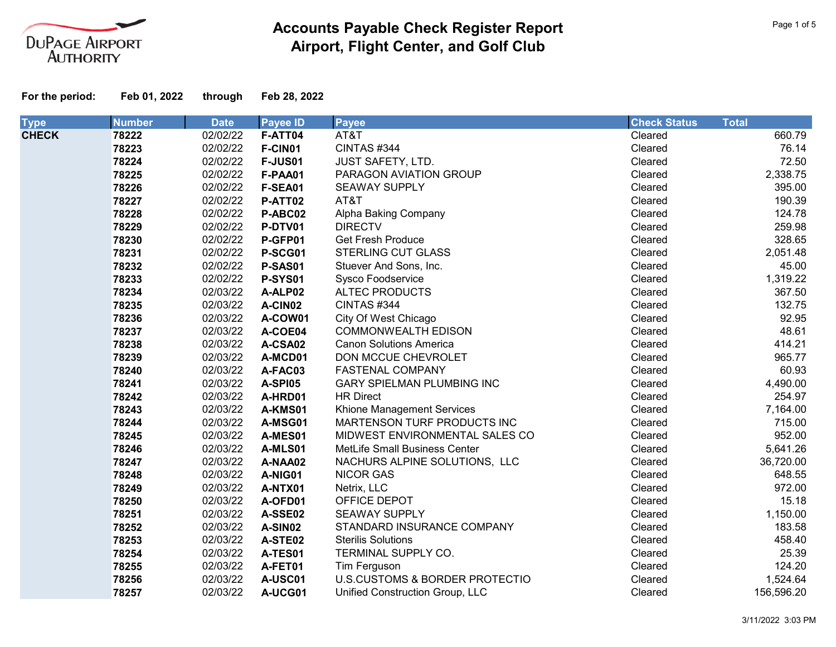

| <b>Type</b>  | <b>Number</b> | <b>Date</b> | <b>Payee ID</b> | <b>Payee</b>                      | <b>Check Status</b> | <b>Total</b> |
|--------------|---------------|-------------|-----------------|-----------------------------------|---------------------|--------------|
| <b>CHECK</b> | 78222         | 02/02/22    | F-ATT04         | AT&T                              | Cleared             | 660.79       |
|              | 78223         | 02/02/22    | F-CIN01         | CINTAS #344                       | Cleared             | 76.14        |
|              | 78224         | 02/02/22    | <b>F-JUS01</b>  | <b>JUST SAFETY, LTD.</b>          | Cleared             | 72.50        |
|              | 78225         | 02/02/22    | F-PAA01         | PARAGON AVIATION GROUP            | Cleared             | 2,338.75     |
|              | 78226         | 02/02/22    | F-SEA01         | <b>SEAWAY SUPPLY</b>              | Cleared             | 395.00       |
|              | 78227         | 02/02/22    | P-ATT02         | AT&T                              | Cleared             | 190.39       |
|              | 78228         | 02/02/22    | P-ABC02         | Alpha Baking Company              | Cleared             | 124.78       |
|              | 78229         | 02/02/22    | P-DTV01         | <b>DIRECTV</b>                    | Cleared             | 259.98       |
|              | 78230         | 02/02/22    | P-GFP01         | <b>Get Fresh Produce</b>          | Cleared             | 328.65       |
|              | 78231         | 02/02/22    | P-SCG01         | <b>STERLING CUT GLASS</b>         | Cleared             | 2,051.48     |
|              | 78232         | 02/02/22    | P-SAS01         | Stuever And Sons, Inc.            | Cleared             | 45.00        |
|              | 78233         | 02/02/22    | <b>P-SYS01</b>  | Sysco Foodservice                 | Cleared             | 1,319.22     |
|              | 78234         | 02/03/22    | A-ALP02         | <b>ALTEC PRODUCTS</b>             | Cleared             | 367.50       |
|              | 78235         | 02/03/22    | A-CIN02         | CINTAS #344                       | Cleared             | 132.75       |
|              | 78236         | 02/03/22    | A-COW01         | City Of West Chicago              | Cleared             | 92.95        |
|              | 78237         | 02/03/22    | A-COE04         | <b>COMMONWEALTH EDISON</b>        | Cleared             | 48.61        |
|              | 78238         | 02/03/22    | A-CSA02         | <b>Canon Solutions America</b>    | Cleared             | 414.21       |
|              | 78239         | 02/03/22    | A-MCD01         | DON MCCUE CHEVROLET               | Cleared             | 965.77       |
|              | 78240         | 02/03/22    | A-FAC03         | <b>FASTENAL COMPANY</b>           | Cleared             | 60.93        |
|              | 78241         | 02/03/22    | A-SPI05         | <b>GARY SPIELMAN PLUMBING INC</b> | Cleared             | 4,490.00     |
|              | 78242         | 02/03/22    | A-HRD01         | <b>HR Direct</b>                  | Cleared             | 254.97       |
|              | 78243         | 02/03/22    | A-KMS01         | Khione Management Services        | Cleared             | 7,164.00     |
|              | 78244         | 02/03/22    | A-MSG01         | MARTENSON TURF PRODUCTS INC       | Cleared             | 715.00       |
|              | 78245         | 02/03/22    | A-MES01         | MIDWEST ENVIRONMENTAL SALES CO    | Cleared             | 952.00       |
|              | 78246         | 02/03/22    | A-MLS01         | MetLife Small Business Center     | Cleared             | 5,641.26     |
|              | 78247         | 02/03/22    | A-NAA02         | NACHURS ALPINE SOLUTIONS, LLC     | Cleared             | 36,720.00    |
|              | 78248         | 02/03/22    | A-NIG01         | <b>NICOR GAS</b>                  | Cleared             | 648.55       |
|              | 78249         | 02/03/22    | A-NTX01         | Netrix, LLC                       | Cleared             | 972.00       |
|              | 78250         | 02/03/22    | A-OFD01         | OFFICE DEPOT                      | Cleared             | 15.18        |
|              | 78251         | 02/03/22    | A-SSE02         | <b>SEAWAY SUPPLY</b>              | Cleared             | 1,150.00     |
|              | 78252         | 02/03/22    | A-SIN02         | STANDARD INSURANCE COMPANY        | Cleared             | 183.58       |
|              | 78253         | 02/03/22    | A-STE02         | <b>Sterilis Solutions</b>         | Cleared             | 458.40       |
|              | 78254         | 02/03/22    | A-TES01         | TERMINAL SUPPLY CO.               | Cleared             | 25.39        |
|              | 78255         | 02/03/22    | A-FET01         | Tim Ferguson                      | Cleared             | 124.20       |
|              | 78256         | 02/03/22    | A-USC01         | U.S.CUSTOMS & BORDER PROTECTIO    | Cleared             | 1,524.64     |
|              | 78257         | 02/03/22    | A-UCG01         | Unified Construction Group, LLC   | Cleared             | 156,596.20   |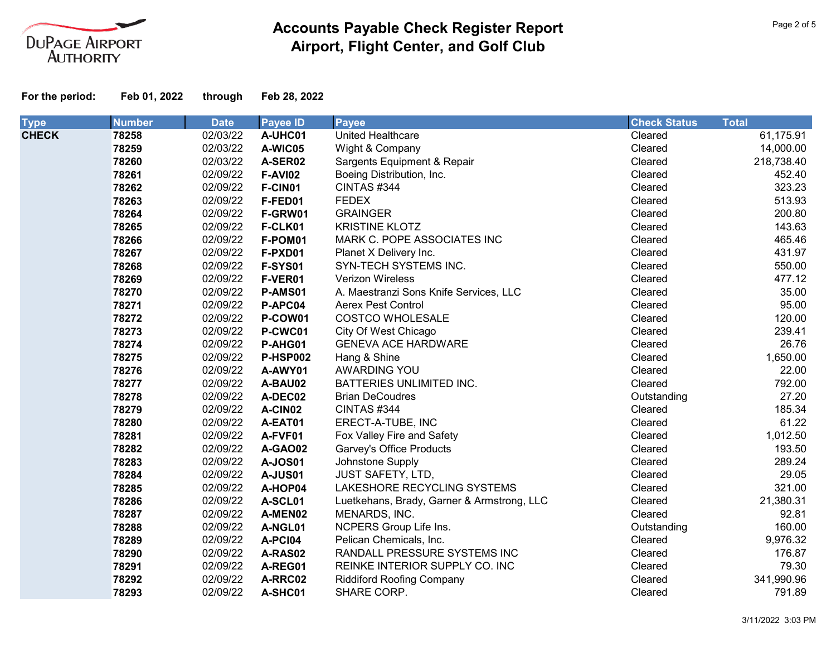

| <b>Type</b>  | <b>Number</b> | <b>Date</b> | <b>Payee ID</b> | <b>Payee</b>                               | <b>Check Status</b> | <b>Total</b> |
|--------------|---------------|-------------|-----------------|--------------------------------------------|---------------------|--------------|
| <b>CHECK</b> | 78258         | 02/03/22    | A-UHC01         | United Healthcare                          | Cleared             | 61,175.91    |
|              | 78259         | 02/03/22    | A-WIC05         | Wight & Company                            | Cleared             | 14,000.00    |
|              | 78260         | 02/03/22    | A-SER02         | Sargents Equipment & Repair                | Cleared             | 218,738.40   |
|              | 78261         | 02/09/22    | <b>F-AVI02</b>  | Boeing Distribution, Inc.                  | Cleared             | 452.40       |
|              | 78262         | 02/09/22    | F-CIN01         | CINTAS #344                                | Cleared             | 323.23       |
|              | 78263         | 02/09/22    | F-FED01         | <b>FEDEX</b>                               | Cleared             | 513.93       |
|              | 78264         | 02/09/22    | F-GRW01         | <b>GRAINGER</b>                            | Cleared             | 200.80       |
|              | 78265         | 02/09/22    | F-CLK01         | <b>KRISTINE KLOTZ</b>                      | Cleared             | 143.63       |
|              | 78266         | 02/09/22    | F-POM01         | MARK C. POPE ASSOCIATES INC                | Cleared             | 465.46       |
|              | 78267         | 02/09/22    | F-PXD01         | Planet X Delivery Inc.                     | Cleared             | 431.97       |
|              | 78268         | 02/09/22    | F-SYS01         | SYN-TECH SYSTEMS INC.                      | Cleared             | 550.00       |
|              | 78269         | 02/09/22    | F-VER01         | Verizon Wireless                           | Cleared             | 477.12       |
|              | 78270         | 02/09/22    | P-AMS01         | A. Maestranzi Sons Knife Services, LLC     | Cleared             | 35.00        |
|              | 78271         | 02/09/22    | P-APC04         | <b>Aerex Pest Control</b>                  | Cleared             | 95.00        |
|              | 78272         | 02/09/22    | P-COW01         | <b>COSTCO WHOLESALE</b>                    | Cleared             | 120.00       |
|              | 78273         | 02/09/22    | P-CWC01         | City Of West Chicago                       | Cleared             | 239.41       |
|              | 78274         | 02/09/22    | P-AHG01         | <b>GENEVA ACE HARDWARE</b>                 | Cleared             | 26.76        |
|              | 78275         | 02/09/22    | <b>P-HSP002</b> | Hang & Shine                               | Cleared             | 1,650.00     |
|              | 78276         | 02/09/22    | A-AWY01         | AWARDING YOU                               | Cleared             | 22.00        |
|              | 78277         | 02/09/22    | A-BAU02         | BATTERIES UNLIMITED INC.                   | Cleared             | 792.00       |
|              | 78278         | 02/09/22    | A-DEC02         | <b>Brian DeCoudres</b>                     | Outstanding         | 27.20        |
|              | 78279         | 02/09/22    | A-CIN02         | CINTAS #344                                | Cleared             | 185.34       |
|              | 78280         | 02/09/22    | A-EAT01         | ERECT-A-TUBE, INC                          | Cleared             | 61.22        |
|              | 78281         | 02/09/22    | A-FVF01         | Fox Valley Fire and Safety                 | Cleared             | 1,012.50     |
|              | 78282         | 02/09/22    | <b>A-GAO02</b>  | <b>Garvey's Office Products</b>            | Cleared             | 193.50       |
|              | 78283         | 02/09/22    | <b>A-JOS01</b>  | Johnstone Supply                           | Cleared             | 289.24       |
|              | 78284         | 02/09/22    | A-JUS01         | <b>JUST SAFETY, LTD,</b>                   | Cleared             | 29.05        |
|              | 78285         | 02/09/22    | A-HOP04         | LAKESHORE RECYCLING SYSTEMS                | Cleared             | 321.00       |
|              | 78286         | 02/09/22    | A-SCL01         | Luetkehans, Brady, Garner & Armstrong, LLC | Cleared             | 21,380.31    |
|              | 78287         | 02/09/22    | A-MEN02         | MENARDS, INC.                              | Cleared             | 92.81        |
|              | 78288         | 02/09/22    | A-NGL01         | NCPERS Group Life Ins.                     | Outstanding         | 160.00       |
|              | 78289         | 02/09/22    | A-PCI04         | Pelican Chemicals, Inc.                    | Cleared             | 9,976.32     |
|              | 78290         | 02/09/22    | A-RAS02         | RANDALL PRESSURE SYSTEMS INC               | Cleared             | 176.87       |
|              | 78291         | 02/09/22    | A-REG01         | REINKE INTERIOR SUPPLY CO. INC             | Cleared             | 79.30        |
|              | 78292         | 02/09/22    | A-RRC02         | <b>Riddiford Roofing Company</b>           | Cleared             | 341,990.96   |
|              | 78293         | 02/09/22    | A-SHC01         | SHARE CORP.                                | Cleared             | 791.89       |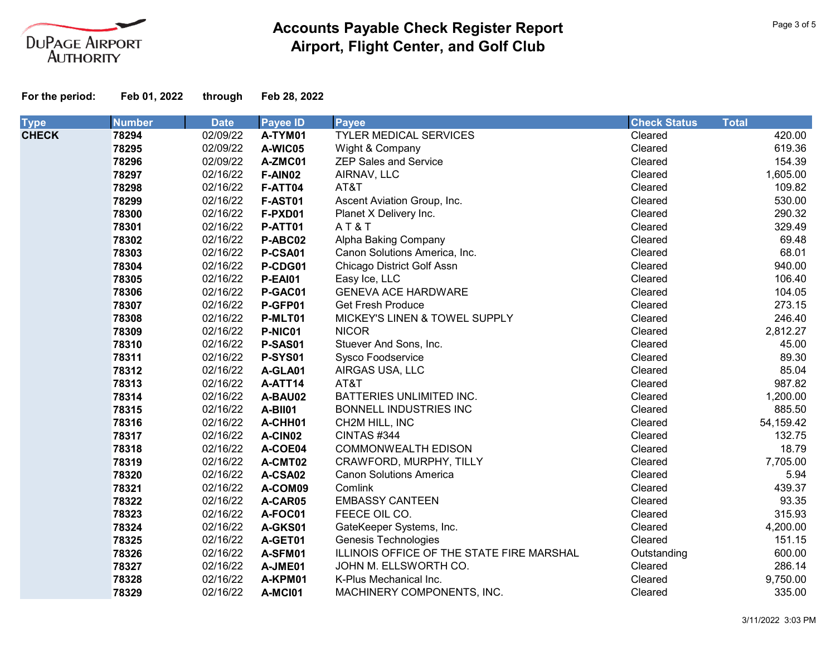

| <b>Type</b>  | <b>Number</b> | <b>Date</b> | <b>Payee ID</b> | <b>Payee</b>                              | <b>Check Status</b> | <b>Total</b> |
|--------------|---------------|-------------|-----------------|-------------------------------------------|---------------------|--------------|
| <b>CHECK</b> | 78294         | 02/09/22    | A-TYM01         | <b>TYLER MEDICAL SERVICES</b>             | Cleared             | 420.00       |
|              | 78295         | 02/09/22    | A-WIC05         | Wight & Company                           | Cleared             | 619.36       |
|              | 78296         | 02/09/22    | A-ZMC01         | <b>ZEP Sales and Service</b>              | Cleared             | 154.39       |
|              | 78297         | 02/16/22    | F-AIN02         | AIRNAV, LLC                               | Cleared             | 1,605.00     |
|              | 78298         | 02/16/22    | F-ATT04         | AT&T                                      | Cleared             | 109.82       |
|              | 78299         | 02/16/22    | <b>F-AST01</b>  | Ascent Aviation Group, Inc.               | Cleared             | 530.00       |
|              | 78300         | 02/16/22    | F-PXD01         | Planet X Delivery Inc.                    | Cleared             | 290.32       |
|              | 78301         | 02/16/22    | P-ATT01         | AT&T                                      | Cleared             | 329.49       |
|              | 78302         | 02/16/22    | P-ABC02         | Alpha Baking Company                      | Cleared             | 69.48        |
|              | 78303         | 02/16/22    | P-CSA01         | Canon Solutions America, Inc.             | Cleared             | 68.01        |
|              | 78304         | 02/16/22    | P-CDG01         | <b>Chicago District Golf Assn</b>         | Cleared             | 940.00       |
|              | 78305         | 02/16/22    | <b>P-EAI01</b>  | Easy Ice, LLC                             | Cleared             | 106.40       |
|              | 78306         | 02/16/22    | P-GAC01         | <b>GENEVA ACE HARDWARE</b>                | Cleared             | 104.05       |
|              | 78307         | 02/16/22    | P-GFP01         | <b>Get Fresh Produce</b>                  | Cleared             | 273.15       |
|              | 78308         | 02/16/22    | P-MLT01         | MICKEY'S LINEN & TOWEL SUPPLY             | Cleared             | 246.40       |
|              | 78309         | 02/16/22    | P-NIC01         | <b>NICOR</b>                              | Cleared             | 2,812.27     |
|              | 78310         | 02/16/22    | P-SAS01         | Stuever And Sons, Inc.                    | Cleared             | 45.00        |
|              | 78311         | 02/16/22    | <b>P-SYS01</b>  | Sysco Foodservice                         | Cleared             | 89.30        |
|              | 78312         | 02/16/22    | A-GLA01         | AIRGAS USA, LLC                           | Cleared             | 85.04        |
|              | 78313         | 02/16/22    | A-ATT14         | AT&T                                      | Cleared             | 987.82       |
|              | 78314         | 02/16/22    | A-BAU02         | BATTERIES UNLIMITED INC.                  | Cleared             | 1,200.00     |
|              | 78315         | 02/16/22    | A-BII01         | BONNELL INDUSTRIES INC                    | Cleared             | 885.50       |
|              | 78316         | 02/16/22    | A-CHH01         | CH2M HILL, INC                            | Cleared             | 54,159.42    |
|              | 78317         | 02/16/22    | A-CIN02         | CINTAS #344                               | Cleared             | 132.75       |
|              | 78318         | 02/16/22    | A-COE04         | <b>COMMONWEALTH EDISON</b>                | Cleared             | 18.79        |
|              | 78319         | 02/16/22    | A-CMT02         | CRAWFORD, MURPHY, TILLY                   | Cleared             | 7,705.00     |
|              | 78320         | 02/16/22    | A-CSA02         | <b>Canon Solutions America</b>            | Cleared             | 5.94         |
|              | 78321         | 02/16/22    | A-COM09         | Comlink                                   | Cleared             | 439.37       |
|              | 78322         | 02/16/22    | A-CAR05         | <b>EMBASSY CANTEEN</b>                    | Cleared             | 93.35        |
|              | 78323         | 02/16/22    | A-FOC01         | FEECE OIL CO.                             | Cleared             | 315.93       |
|              | 78324         | 02/16/22    | A-GKS01         | GateKeeper Systems, Inc.                  | Cleared             | 4,200.00     |
|              | 78325         | 02/16/22    | A-GET01         | Genesis Technologies                      | Cleared             | 151.15       |
|              | 78326         | 02/16/22    | A-SFM01         | ILLINOIS OFFICE OF THE STATE FIRE MARSHAL | Outstanding         | 600.00       |
|              | 78327         | 02/16/22    | A-JME01         | JOHN M. ELLSWORTH CO.                     | Cleared             | 286.14       |
|              | 78328         | 02/16/22    | A-KPM01         | K-Plus Mechanical Inc.                    | Cleared             | 9,750.00     |
|              | 78329         | 02/16/22    | A-MCI01         | MACHINERY COMPONENTS, INC.                | Cleared             | 335.00       |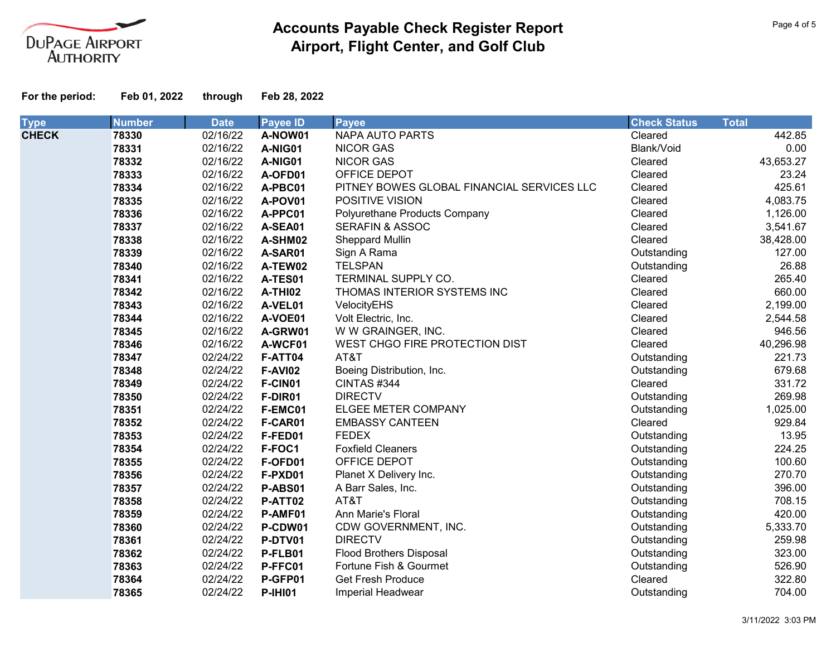

| <b>Type</b>  | <b>Number</b> | <b>Date</b> | <b>Payee ID</b> | Payee                                      | <b>Check Status</b> | <b>Total</b> |
|--------------|---------------|-------------|-----------------|--------------------------------------------|---------------------|--------------|
| <b>CHECK</b> | 78330         | 02/16/22    | A-NOW01         | <b>NAPA AUTO PARTS</b>                     | Cleared             | 442.85       |
|              | 78331         | 02/16/22    | A-NIG01         | <b>NICOR GAS</b>                           | Blank/Void          | 0.00         |
|              | 78332         | 02/16/22    | A-NIG01         | <b>NICOR GAS</b>                           | Cleared             | 43,653.27    |
|              | 78333         | 02/16/22    | A-OFD01         | OFFICE DEPOT                               | Cleared             | 23.24        |
|              | 78334         | 02/16/22    | A-PBC01         | PITNEY BOWES GLOBAL FINANCIAL SERVICES LLC | Cleared             | 425.61       |
|              | 78335         | 02/16/22    | A-POV01         | POSITIVE VISION                            | Cleared             | 4,083.75     |
|              | 78336         | 02/16/22    | A-PPC01         | Polyurethane Products Company              | Cleared             | 1,126.00     |
|              | 78337         | 02/16/22    | A-SEA01         | <b>SERAFIN &amp; ASSOC</b>                 | Cleared             | 3,541.67     |
|              | 78338         | 02/16/22    | A-SHM02         | Sheppard Mullin                            | Cleared             | 38,428.00    |
|              | 78339         | 02/16/22    | A-SAR01         | Sign A Rama                                | Outstanding         | 127.00       |
|              | 78340         | 02/16/22    | A-TEW02         | <b>TELSPAN</b>                             | Outstanding         | 26.88        |
|              | 78341         | 02/16/22    | A-TES01         | TERMINAL SUPPLY CO.                        | Cleared             | 265.40       |
|              | 78342         | 02/16/22    | A-THI02         | THOMAS INTERIOR SYSTEMS INC                | Cleared             | 660.00       |
|              | 78343         | 02/16/22    | A-VEL01         | VelocityEHS                                | Cleared             | 2,199.00     |
|              | 78344         | 02/16/22    | A-VOE01         | Volt Electric, Inc.                        | Cleared             | 2,544.58     |
|              | 78345         | 02/16/22    | A-GRW01         | W W GRAINGER, INC.                         | Cleared             | 946.56       |
|              | 78346         | 02/16/22    | A-WCF01         | WEST CHGO FIRE PROTECTION DIST             | Cleared             | 40,296.98    |
|              | 78347         | 02/24/22    | F-ATT04         | AT&T                                       | Outstanding         | 221.73       |
|              | 78348         | 02/24/22    | <b>F-AVI02</b>  | Boeing Distribution, Inc.                  | Outstanding         | 679.68       |
|              | 78349         | 02/24/22    | F-CIN01         | CINTAS #344                                | Cleared             | 331.72       |
|              | 78350         | 02/24/22    | F-DIR01         | <b>DIRECTV</b>                             | Outstanding         | 269.98       |
|              | 78351         | 02/24/22    | F-EMC01         | <b>ELGEE METER COMPANY</b>                 | Outstanding         | 1,025.00     |
|              | 78352         | 02/24/22    | F-CAR01         | <b>EMBASSY CANTEEN</b>                     | Cleared             | 929.84       |
|              | 78353         | 02/24/22    | F-FED01         | <b>FEDEX</b>                               | Outstanding         | 13.95        |
|              | 78354         | 02/24/22    | F-FOC1          | <b>Foxfield Cleaners</b>                   | Outstanding         | 224.25       |
|              | 78355         | 02/24/22    | F-OFD01         | OFFICE DEPOT                               | Outstanding         | 100.60       |
|              | 78356         | 02/24/22    | F-PXD01         | Planet X Delivery Inc.                     | Outstanding         | 270.70       |
|              | 78357         | 02/24/22    | P-ABS01         | A Barr Sales, Inc.                         | Outstanding         | 396.00       |
|              | 78358         | 02/24/22    | P-ATT02         | AT&T                                       | Outstanding         | 708.15       |
|              | 78359         | 02/24/22    | P-AMF01         | Ann Marie's Floral                         | Outstanding         | 420.00       |
|              | 78360         | 02/24/22    | P-CDW01         | CDW GOVERNMENT, INC.                       | Outstanding         | 5,333.70     |
|              | 78361         | 02/24/22    | P-DTV01         | <b>DIRECTV</b>                             | Outstanding         | 259.98       |
|              | 78362         | 02/24/22    | P-FLB01         | <b>Flood Brothers Disposal</b>             | Outstanding         | 323.00       |
|              | 78363         | 02/24/22    | P-FFC01         | Fortune Fish & Gourmet                     | Outstanding         | 526.90       |
|              | 78364         | 02/24/22    | P-GFP01         | <b>Get Fresh Produce</b>                   | Cleared             | 322.80       |
|              | 78365         | 02/24/22    | <b>P-IHI01</b>  | Imperial Headwear                          | Outstanding         | 704.00       |